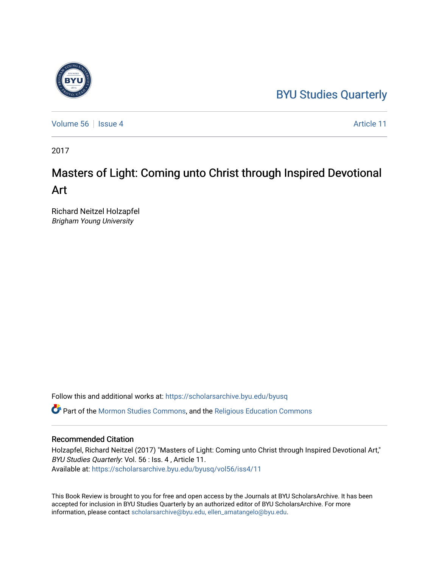## [BYU Studies Quarterly](https://scholarsarchive.byu.edu/byusq)

[Volume 56](https://scholarsarchive.byu.edu/byusq/vol56) Service 4 Article 11

2017

## Masters of Light: Coming unto Christ through Inspired Devotional Art

Richard Neitzel Holzapfel Brigham Young University

Follow this and additional works at: [https://scholarsarchive.byu.edu/byusq](https://scholarsarchive.byu.edu/byusq?utm_source=scholarsarchive.byu.edu%2Fbyusq%2Fvol56%2Fiss4%2F11&utm_medium=PDF&utm_campaign=PDFCoverPages) 

Part of the [Mormon Studies Commons](http://network.bepress.com/hgg/discipline/1360?utm_source=scholarsarchive.byu.edu%2Fbyusq%2Fvol56%2Fiss4%2F11&utm_medium=PDF&utm_campaign=PDFCoverPages), and the [Religious Education Commons](http://network.bepress.com/hgg/discipline/1414?utm_source=scholarsarchive.byu.edu%2Fbyusq%2Fvol56%2Fiss4%2F11&utm_medium=PDF&utm_campaign=PDFCoverPages) 

## Recommended Citation

Holzapfel, Richard Neitzel (2017) "Masters of Light: Coming unto Christ through Inspired Devotional Art," BYU Studies Quarterly: Vol. 56 : Iss. 4 , Article 11. Available at: [https://scholarsarchive.byu.edu/byusq/vol56/iss4/11](https://scholarsarchive.byu.edu/byusq/vol56/iss4/11?utm_source=scholarsarchive.byu.edu%2Fbyusq%2Fvol56%2Fiss4%2F11&utm_medium=PDF&utm_campaign=PDFCoverPages) 

This Book Review is brought to you for free and open access by the Journals at BYU ScholarsArchive. It has been accepted for inclusion in BYU Studies Quarterly by an authorized editor of BYU ScholarsArchive. For more information, please contact [scholarsarchive@byu.edu, ellen\\_amatangelo@byu.edu.](mailto:scholarsarchive@byu.edu,%20ellen_amatangelo@byu.edu)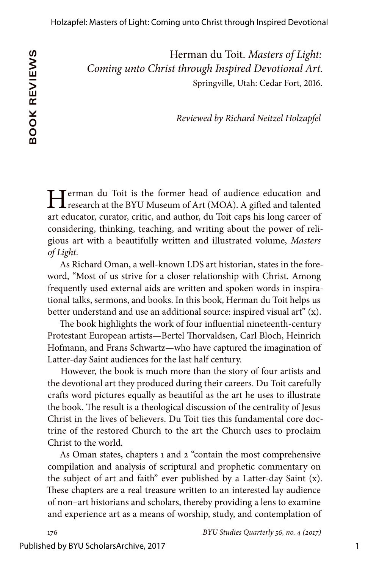Herman du Toit. *Masters of Light: Coming unto Christ through Inspired Devotional Art.* Springville, Utah: Cedar Fort, 2016.

*Reviewed by Richard Neitzel Holzapfel*

Terman du Toit is the former head of audience education and **L** research at the BYU Museum of Art (MOA). A gifted and talented art educator, curator, critic, and author, du Toit caps his long career of considering, thinking, teaching, and writing about the power of religious art with a beautifully written and illustrated volume, *Masters of Light*.

As Richard Oman, a well-known LDS art historian, states in the foreword, "Most of us strive for a closer relationship with Christ. Among frequently used external aids are written and spoken words in inspirational talks, sermons, and books. In this book, Herman du Toit helps us better understand and use an additional source: inspired visual art" (x).

The book highlights the work of four influential nineteenth-century Protestant European artists—Bertel Thorvaldsen, Carl Bloch, Heinrich Hofmann, and Frans Schwartz—who have captured the imagination of Latter-day Saint audiences for the last half century.

However, the book is much more than the story of four artists and the devotional art they produced during their careers. Du Toit carefully crafts word pictures equally as beautiful as the art he uses to illustrate the book. The result is a theological discussion of the centrality of Jesus Christ in the lives of believers. Du Toit ties this fundamental core doctrine of the restored Church to the art the Church uses to proclaim Christ to the world.

As Oman states, chapters 1 and 2 "contain the most comprehensive compilation and analysis of scriptural and prophetic commentary on the subject of art and faith" ever published by a Latter-day Saint (x). These chapters are a real treasure written to an interested lay audience of non–art historians and scholars, thereby providing a lens to examine and experience art as a means of worship, study, and contemplation of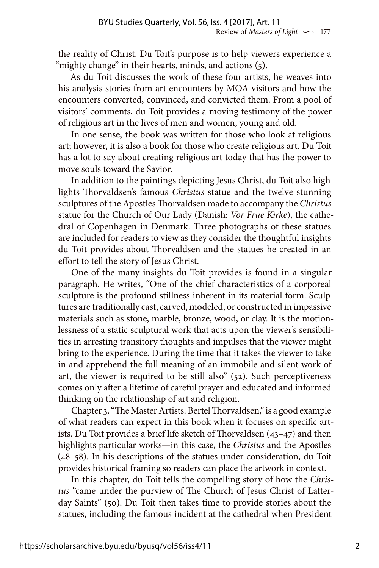the reality of Christ. Du Toit's purpose is to help viewers experience a "mighty change" in their hearts, minds, and actions (5).

As du Toit discusses the work of these four artists, he weaves into his analysis stories from art encounters by MOA visitors and how the encounters converted, convinced, and convicted them. From a pool of visitors' comments, du Toit provides a moving testimony of the power of religious art in the lives of men and women, young and old.

In one sense, the book was written for those who look at religious art; however, it is also a book for those who create religious art. Du Toit has a lot to say about creating religious art today that has the power to move souls toward the Savior.

In addition to the paintings depicting Jesus Christ, du Toit also highlights Thorvaldsen's famous *Christus* statue and the twelve stunning sculptures of the Apostles Thorvaldsen made to accompany the *Christus*  statue for the Church of Our Lady (Danish: *Vor Frue Kirke*), the cathedral of Copenhagen in Denmark. Three photographs of these statues are included for readers to view as they consider the thoughtful insights du Toit provides about Thorvaldsen and the statues he created in an effort to tell the story of Jesus Christ.

One of the many insights du Toit provides is found in a singular paragraph. He writes, "One of the chief characteristics of a corporeal sculpture is the profound stillness inherent in its material form. Sculptures are traditionally cast, carved, modeled, or constructed in impassive materials such as stone, marble, bronze, wood, or clay. It is the motionlessness of a static sculptural work that acts upon the viewer's sensibilities in arresting transitory thoughts and impulses that the viewer might bring to the experience. During the time that it takes the viewer to take in and apprehend the full meaning of an immobile and silent work of art, the viewer is required to be still also" (52). Such perceptiveness comes only after a lifetime of careful prayer and educated and informed thinking on the relationship of art and religion.

Chapter 3, "The Master Artists: Bertel Thorvaldsen," is a good example of what readers can expect in this book when it focuses on specific artists. Du Toit provides a brief life sketch of Thorvaldsen (43–47) and then highlights particular works—in this case, the *Christus* and the Apostles (48–58). In his descriptions of the statues under consideration, du Toit provides historical framing so readers can place the artwork in context.

In this chapter, du Toit tells the compelling story of how the *Christus* "came under the purview of The Church of Jesus Christ of Latterday Saints" (50). Du Toit then takes time to provide stories about the statues, including the famous incident at the cathedral when President